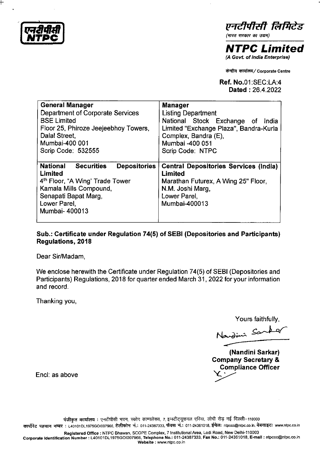**(एनदीपीसी)**<br>NTPC

t-

एनटीपीसी लिमिटेड

*(भारत सरकार का उद्यम)* 

**NTPC Limited**  (A Govt. of India Enterprise)

<sup>~</sup>*~/* Corporate Centre

**Ref.** No.01 :SEC:LA:4 **Dated** : 26.4.2022

| <b>General Manager</b>                                                                                                                                                                                    | <b>Manager</b>                                                                                                                                      |
|-----------------------------------------------------------------------------------------------------------------------------------------------------------------------------------------------------------|-----------------------------------------------------------------------------------------------------------------------------------------------------|
| Department of Corporate Services                                                                                                                                                                          | <b>Listing Department</b>                                                                                                                           |
| <b>BSE Limited</b>                                                                                                                                                                                        | National Stock Exchange of India                                                                                                                    |
| Floor 25, Phiroze Jeejeebhoy Towers,                                                                                                                                                                      | Limited "Exchange Plaza", Bandra-Kurla                                                                                                              |
| Dalal Street,                                                                                                                                                                                             | Complex, Bandra (E),                                                                                                                                |
| Mumbai-400 001                                                                                                                                                                                            | Mumbai -400 051                                                                                                                                     |
| Scrip Code: 532555                                                                                                                                                                                        | Scrip Code: NTPC                                                                                                                                    |
| <b>National</b><br><b>Securities</b><br><b>Depositories</b><br>Limited<br>4 <sup>th</sup> Floor, "A Wing' Trade Tower<br>Kamala Mills Compound,<br>Senapati Bapat Marg,<br>Lower Parel,<br>Mumbai- 400013 | <b>Central Depositories Services (India)</b><br>Limited<br>Marathan Futurex, A Wing 25" Floor,<br>N.M. Joshi Marg,<br>Lower Parel,<br>Mumbai-400013 |

## **Sub.: Certificate under Regulation 74(5) of SEBI (Depositories and Participants) Regulations, 2018**

Dear Sir/Madam,

We enclose herewith the Certificate under Regulation 74(5) of SEBI (Depositories and Participants) Regulations, 2018 for quarter ended March 31, 2022 for your information and record.

Thanking you,

Yours faithfully,

Nandini Sarker

**(Nandini Sarkar) Company Secretary** & **Compliance Officer**<br>  $\angle$ 

Encl: as above

पंजीकृत कार्यालय : एनटीपीसी भवन, स्कोप काम्पलेक्स, 7, इन्स्टीट्यूशनल एरिया, लोधी रोड़ नई दिल्ली-110003 कार्पोरेट पहचान नम्बर : L40101DL1975GOI007966, टेलीफोन नं.: 011-24387333, फैक्स नं.: 011-24361018, ईमेल: ntpccc@ntpc.co.in, वेबसाइट: www.ntpc.co.in

Registered Office: NTPC Bhawan, SCOPE Complex, 7 Institutional Area, Lodi Road, New Delhi-110003

Corporate Identification Number: L40101DL 1975GOI007966, Telephone No.: 011-24387333, Fax No.: 011-24361018, E-mail: ntpccc@ntpc.co.in Website : www.ntpc.co.in